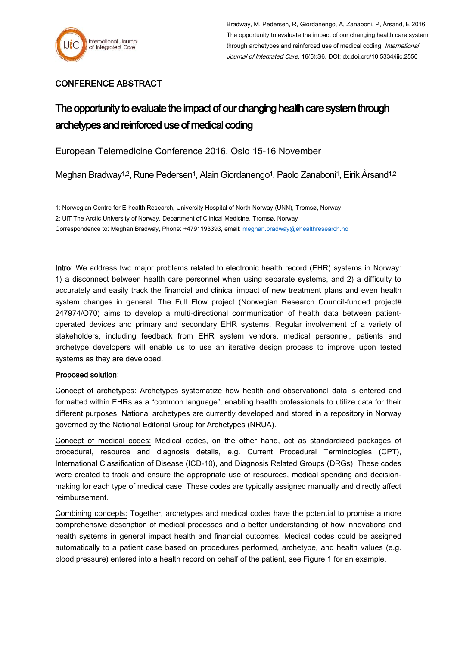## CONFERENCE ABSTRACT

## The opportunity to evaluate the impact of our changing health care system through archetypes and reinforced use of medical coding

European Telemedicine Conference 2016, Oslo 15-16 November

Meghan Bradway<sup>1,2</sup>, Rune Pedersen<sup>1</sup>, Alain Giordanengo<sup>1</sup>, Paolo Zanaboni<sup>1</sup>, Eirik Årsand<sup>1,2</sup>

1: Norwegian Centre for E-health Research, University Hospital of North Norway (UNN), Tromsø, Norway 2: UiT The Arctic University of Norway, Department of Clinical Medicine, Tromsø, Norway Correspondence to: Meghan Bradway, Phone: +4791193393, email: [meghan.bradway@ehealthresearch.no](mailto:meghan.bradway@ehealthresearch.no)

Intro: We address two major problems related to electronic health record (EHR) systems in Norway: 1) a disconnect between health care personnel when using separate systems, and 2) a difficulty to accurately and easily track the financial and clinical impact of new treatment plans and even health system changes in general. The Full Flow project (Norwegian Research Council-funded project# 247974/O70) aims to develop a multi-directional communication of health data between patientoperated devices and primary and secondary EHR systems. Regular involvement of a variety of stakeholders, including feedback from EHR system vendors, medical personnel, patients and archetype developers will enable us to use an iterative design process to improve upon tested systems as they are developed.

## Proposed solution:

Concept of archetypes: Archetypes systematize how health and observational data is entered and formatted within EHRs as a "common language", enabling health professionals to utilize data for their different purposes. National archetypes are currently developed and stored in a repository in Norway governed by the National Editorial Group for Archetypes (NRUA).

Concept of medical codes: Medical codes, on the other hand, act as standardized packages of procedural, resource and diagnosis details, e.g. Current Procedural Terminologies (CPT), International Classification of Disease (ICD-10), and Diagnosis Related Groups (DRGs). These codes were created to track and ensure the appropriate use of resources, medical spending and decisionmaking for each type of medical case. These codes are typically assigned manually and directly affect reimbursement.

Combining concepts: Together, archetypes and medical codes have the potential to promise a more comprehensive description of medical processes and a better understanding of how innovations and health systems in general impact health and financial outcomes. Medical codes could be assigned automatically to a patient case based on procedures performed, archetype, and health values (e.g. blood pressure) entered into a health record on behalf of the patient, see Figure 1 for an example.